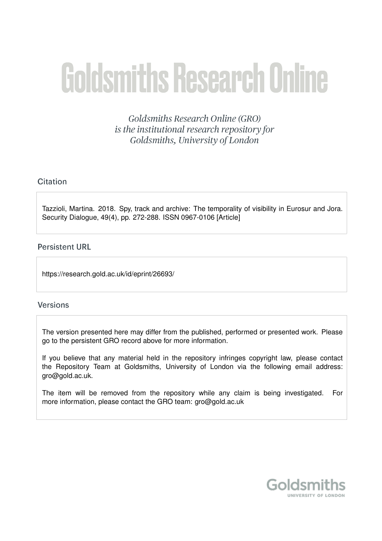# **Goldsmiths Research Online**

Goldsmiths Research Online (GRO) is the institutional research repository for Goldsmiths, University of London

# Citation

Tazzioli, Martina. 2018. Spy, track and archive: The temporality of visibility in Eurosur and Jora. Security Dialogue, 49(4), pp. 272-288. ISSN 0967-0106 [Article]

# **Persistent URL**

https://research.gold.ac.uk/id/eprint/26693/

# **Versions**

The version presented here may differ from the published, performed or presented work. Please go to the persistent GRO record above for more information.

If you believe that any material held in the repository infringes copyright law, please contact the Repository Team at Goldsmiths, University of London via the following email address: gro@gold.ac.uk.

The item will be removed from the repository while any claim is being investigated. For more information, please contact the GRO team: gro@gold.ac.uk

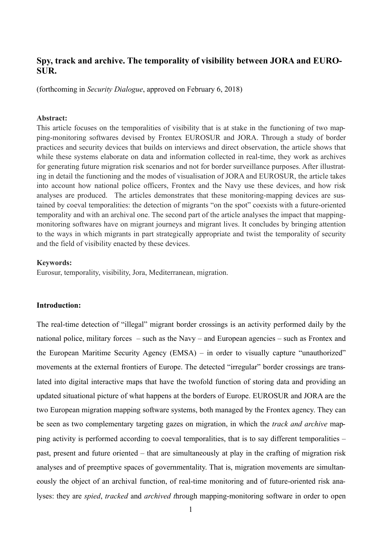# **Spy, track and archive. The temporality of visibility between JORA and EURO-SUR.**

(forthcoming in *Security Dialogue*, approved on February 6, 2018)

### **Abstract:**

This article focuses on the temporalities of visibility that is at stake in the functioning of two mapping-monitoring softwares devised by Frontex EUROSUR and JORA. Through a study of border practices and security devices that builds on interviews and direct observation, the article shows that while these systems elaborate on data and information collected in real-time, they work as archives for generating future migration risk scenarios and not for border surveillance purposes. After illustrating in detail the functioning and the modes of visualisation of JORA and EUROSUR, the article takes into account how national police officers, Frontex and the Navy use these devices, and how risk analyses are produced. The articles demonstrates that these monitoring-mapping devices are sustained by coeval temporalities: the detection of migrants "on the spot" coexists with a future-oriented temporality and with an archival one. The second part of the article analyses the impact that mappingmonitoring softwares have on migrant journeys and migrant lives. It concludes by bringing attention to the ways in which migrants in part strategically appropriate and twist the temporality of security and the field of visibility enacted by these devices.

### **Keywords:**

Eurosur, temporality, visibility, Jora, Mediterranean, migration.

### **Introduction:**

The real-time detection of "illegal" migrant border crossings is an activity performed daily by the national police, military forces – such as the Navy – and European agencies – such as Frontex and the European Maritime Security Agency (EMSA) – in order to visually capture "unauthorized" movements at the external frontiers of Europe. The detected "irregular" border crossings are translated into digital interactive maps that have the twofold function of storing data and providing an updated situational picture of what happens at the borders of Europe. EUROSUR and JORA are the two European migration mapping software systems, both managed by the Frontex agency. They can be seen as two complementary targeting gazes on migration, in which the *track and archive* mapping activity is performed according to coeval temporalities, that is to say different temporalities – past, present and future oriented – that are simultaneously at play in the crafting of migration risk analyses and of preemptive spaces of governmentality. That is, migration movements are simultaneously the object of an archival function, of real-time monitoring and of future-oriented risk analyses: they are *spied*, *tracked* and *archived t*hrough mapping-monitoring software in order to open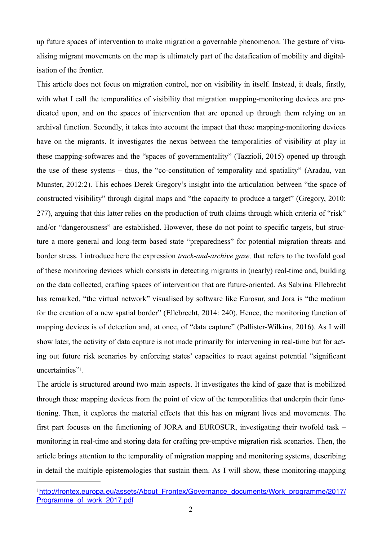up future spaces of intervention to make migration a governable phenomenon. The gesture of visualising migrant movements on the map is ultimately part of the datafication of mobility and digitalisation of the frontier.

This article does not focus on migration control, nor on visibility in itself. Instead, it deals, firstly, with what I call the temporalities of visibility that migration mapping-monitoring devices are predicated upon, and on the spaces of intervention that are opened up through them relying on an archival function. Secondly, it takes into account the impact that these mapping-monitoring devices have on the migrants. It investigates the nexus between the temporalities of visibility at play in these mapping-softwares and the "spaces of governmentality" (Tazzioli, 2015) opened up through the use of these systems – thus, the "co-constitution of temporality and spatiality" (Aradau, van Munster, 2012:2). This echoes Derek Gregory's insight into the articulation between "the space of constructed visibility" through digital maps and "the capacity to produce a target" (Gregory, 2010: 277), arguing that this latter relies on the production of truth claims through which criteria of "risk" and/or "dangerousness" are established. However, these do not point to specific targets, but structure a more general and long-term based state "preparedness" for potential migration threats and border stress. I introduce here the expression *track-and-archive gaze,* that refers to the twofold goal of these monitoring devices which consists in detecting migrants in (nearly) real-time and, building on the data collected, crafting spaces of intervention that are future-oriented. As Sabrina Ellebrecht has remarked, "the virtual network" visualised by software like Eurosur, and Jora is "the medium for the creation of a new spatial border" (Ellebrecht, 2014: 240). Hence, the monitoring function of mapping devices is of detection and, at once, of "data capture" (Pallister-Wilkins, 2016). As I will show later, the activity of data capture is not made primarily for intervening in real-time but for acting out future risk scenarios by enforcing states' capacities to react against potential "significant uncertainties"1.

The article is structured around two main aspects. It investigates the kind of gaze that is mobilized through these mapping devices from the point of view of the temporalities that underpin their functioning. Then, it explores the material effects that this has on migrant lives and movements. The first part focuses on the functioning of JORA and EUROSUR, investigating their twofold task – monitoring in real-time and storing data for crafting pre-emptive migration risk scenarios. Then, the article brings attention to the temporality of migration mapping and monitoring systems, describing in detail the multiple epistemologies that sustain them. As I will show, these monitoring-mapping

<sup>&</sup>lt;sup>1</sup>http://frontex.europa.eu/assets/About\_Frontex/Governance\_documents/Work\_programme/2017/ Programme\_of\_work\_2017.pdf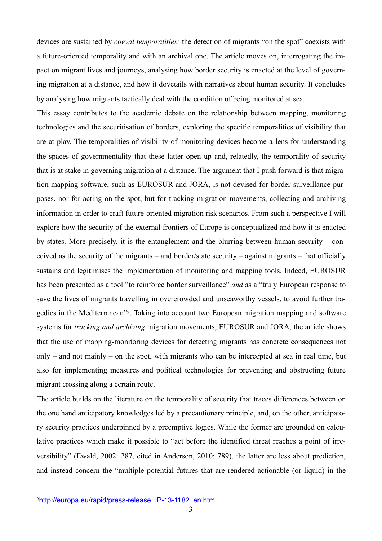devices are sustained by *coeval temporalities:* the detection of migrants "on the spot" coexists with a future-oriented temporality and with an archival one. The article moves on, interrogating the impact on migrant lives and journeys, analysing how border security is enacted at the level of governing migration at a distance, and how it dovetails with narratives about human security. It concludes by analysing how migrants tactically deal with the condition of being monitored at sea.

This essay contributes to the academic debate on the relationship between mapping, monitoring technologies and the securitisation of borders, exploring the specific temporalities of visibility that are at play. The temporalities of visibility of monitoring devices become a lens for understanding the spaces of governmentality that these latter open up and, relatedly, the temporality of security that is at stake in governing migration at a distance. The argument that I push forward is that migration mapping software, such as EUROSUR and JORA, is not devised for border surveillance purposes, nor for acting on the spot, but for tracking migration movements, collecting and archiving information in order to craft future-oriented migration risk scenarios. From such a perspective I will explore how the security of the external frontiers of Europe is conceptualized and how it is enacted by states. More precisely, it is the entanglement and the blurring between human security – conceived as the security of the migrants – and border/state security – against migrants – that officially sustains and legitimises the implementation of monitoring and mapping tools. Indeed, EUROSUR has been presented as a tool "to reinforce border surveillance" *and* as a "truly European response to save the lives of migrants travelling in overcrowded and unseaworthy vessels, to avoid further tragedies in the Mediterranean"2. Taking into account two European migration mapping and software systems for *tracking and archiving* migration movements, EUROSUR and JORA, the article shows that the use of mapping-monitoring devices for detecting migrants has concrete consequences not only – and not mainly – on the spot, with migrants who can be intercepted at sea in real time, but also for implementing measures and political technologies for preventing and obstructing future migrant crossing along a certain route.

The article builds on the literature on the temporality of security that traces differences between on the one hand anticipatory knowledges led by a precautionary principle, and, on the other, anticipatory security practices underpinned by a preemptive logics. While the former are grounded on calculative practices which make it possible to "act before the identified threat reaches a point of irreversibility" (Ewald, 2002: 287, cited in Anderson, 2010: 789), the latter are less about prediction, and instead concern the "multiple potential futures that are rendered actionable (or liquid) in the

<sup>2</sup>http://europa.eu/rapid/press-release\_IP-13-1182\_en.htm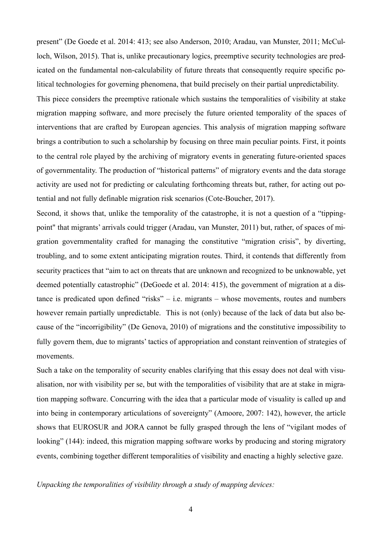present" (De Goede et al. 2014: 413; see also Anderson, 2010; Aradau, van Munster, 2011; McCulloch, Wilson, 2015). That is, unlike precautionary logics, preemptive security technologies are predicated on the fundamental non-calculability of future threats that consequently require specific political technologies for governing phenomena, that build precisely on their partial unpredictability.

This piece considers the preemptive rationale which sustains the temporalities of visibility at stake migration mapping software, and more precisely the future oriented temporality of the spaces of interventions that are crafted by European agencies. This analysis of migration mapping software brings a contribution to such a scholarship by focusing on three main peculiar points. First, it points to the central role played by the archiving of migratory events in generating future-oriented spaces of governmentality. The production of "historical patterns" of migratory events and the data storage activity are used not for predicting or calculating forthcoming threats but, rather, for acting out potential and not fully definable migration risk scenarios (Cote-Boucher, 2017).

Second, it shows that, unlike the temporality of the catastrophe, it is not a question of a "tippingpoint" that migrants' arrivals could trigger (Aradau, van Munster, 2011) but, rather, of spaces of migration governmentality crafted for managing the constitutive "migration crisis", by diverting, troubling, and to some extent anticipating migration routes. Third, it contends that differently from security practices that "aim to act on threats that are unknown and recognized to be unknowable, yet deemed potentially catastrophic" (DeGoede et al. 2014: 415), the government of migration at a distance is predicated upon defined "risks" – i.e. migrants – whose movements, routes and numbers however remain partially unpredictable. This is not (only) because of the lack of data but also because of the "incorrigibility" (De Genova, 2010) of migrations and the constitutive impossibility to fully govern them, due to migrants' tactics of appropriation and constant reinvention of strategies of movements.

Such a take on the temporality of security enables clarifying that this essay does not deal with visualisation, nor with visibility per se, but with the temporalities of visibility that are at stake in migration mapping software. Concurring with the idea that a particular mode of visuality is called up and into being in contemporary articulations of sovereignty" (Amoore, 2007: 142), however, the article shows that EUROSUR and JORA cannot be fully grasped through the lens of "vigilant modes of looking" (144): indeed, this migration mapping software works by producing and storing migratory events, combining together different temporalities of visibility and enacting a highly selective gaze.

*Unpacking the temporalities of visibility through a study of mapping devices:*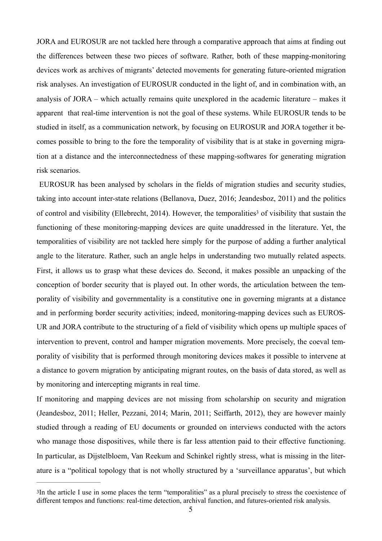JORA and EUROSUR are not tackled here through a comparative approach that aims at finding out the differences between these two pieces of software. Rather, both of these mapping-monitoring devices work as archives of migrants' detected movements for generating future-oriented migration risk analyses. An investigation of EUROSUR conducted in the light of, and in combination with, an analysis of JORA – which actually remains quite unexplored in the academic literature – makes it apparent that real-time intervention is not the goal of these systems. While EUROSUR tends to be studied in itself, as a communication network, by focusing on EUROSUR and JORA together it becomes possible to bring to the fore the temporality of visibility that is at stake in governing migration at a distance and the interconnectedness of these mapping-softwares for generating migration risk scenarios.

 EUROSUR has been analysed by scholars in the fields of migration studies and security studies, taking into account inter-state relations (Bellanova, Duez, 2016; Jeandesboz, 2011) and the politics of control and visibility (Ellebrecht, 2014). However, the temporalities<sup>3</sup> of visibility that sustain the functioning of these monitoring-mapping devices are quite unaddressed in the literature. Yet, the temporalities of visibility are not tackled here simply for the purpose of adding a further analytical angle to the literature. Rather, such an angle helps in understanding two mutually related aspects. First, it allows us to grasp what these devices do. Second, it makes possible an unpacking of the conception of border security that is played out. In other words, the articulation between the temporality of visibility and governmentality is a constitutive one in governing migrants at a distance and in performing border security activities; indeed, monitoring-mapping devices such as EUROS-UR and JORA contribute to the structuring of a field of visibility which opens up multiple spaces of intervention to prevent, control and hamper migration movements. More precisely, the coeval temporality of visibility that is performed through monitoring devices makes it possible to intervene at a distance to govern migration by anticipating migrant routes, on the basis of data stored, as well as by monitoring and intercepting migrants in real time.

If monitoring and mapping devices are not missing from scholarship on security and migration (Jeandesboz, 2011; Heller, Pezzani, 2014; Marin, 2011; Seiffarth, 2012), they are however mainly studied through a reading of EU documents or grounded on interviews conducted with the actors who manage those dispositives, while there is far less attention paid to their effective functioning. In particular, as Dijstelbloem, Van Reekum and Schinkel rightly stress, what is missing in the literature is a "political topology that is not wholly structured by a 'surveillance apparatus', but which

<sup>3</sup>In the article I use in some places the term "temporalities" as a plural precisely to stress the coexistence of different tempos and functions: real-time detection, archival function, and futures-oriented risk analysis.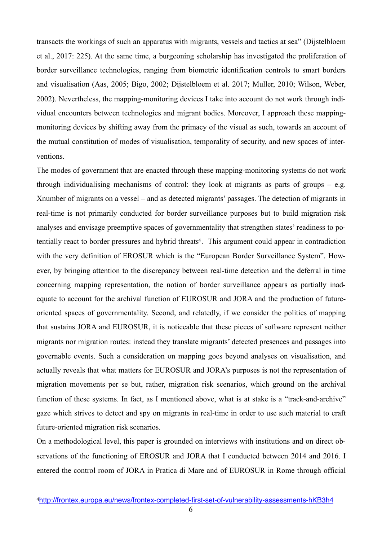transacts the workings of such an apparatus with migrants, vessels and tactics at sea" (Dijstelbloem et al., 2017: 225). At the same time, a burgeoning scholarship has investigated the proliferation of border surveillance technologies, ranging from biometric identification controls to smart borders and visualisation (Aas, 2005; Bigo, 2002; Dijstelbloem et al. 2017; Muller, 2010; Wilson, Weber, 2002). Nevertheless, the mapping-monitoring devices I take into account do not work through individual encounters between technologies and migrant bodies. Moreover, I approach these mappingmonitoring devices by shifting away from the primacy of the visual as such, towards an account of the mutual constitution of modes of visualisation, temporality of security, and new spaces of interventions.

The modes of government that are enacted through these mapping-monitoring systems do not work through individualising mechanisms of control: they look at migrants as parts of groups – e.g. Xnumber of migrants on a vessel – and as detected migrants' passages. The detection of migrants in real-time is not primarily conducted for border surveillance purposes but to build migration risk analyses and envisage preemptive spaces of governmentality that strengthen states' readiness to potentially react to border pressures and hybrid threats<sup>4</sup>. This argument could appear in contradiction with the very definition of EROSUR which is the "European Border Surveillance System". However, by bringing attention to the discrepancy between real-time detection and the deferral in time concerning mapping representation, the notion of border surveillance appears as partially inadequate to account for the archival function of EUROSUR and JORA and the production of futureoriented spaces of governmentality. Second, and relatedly, if we consider the politics of mapping that sustains JORA and EUROSUR, it is noticeable that these pieces of software represent neither migrants nor migration routes: instead they translate migrants' detected presences and passages into governable events. Such a consideration on mapping goes beyond analyses on visualisation, and actually reveals that what matters for EUROSUR and JORA's purposes is not the representation of migration movements per se but, rather, migration risk scenarios, which ground on the archival function of these systems. In fact, as I mentioned above, what is at stake is a "track-and-archive" gaze which strives to detect and spy on migrants in real-time in order to use such material to craft future-oriented migration risk scenarios.

On a methodological level, this paper is grounded on interviews with institutions and on direct observations of the functioning of EROSUR and JORA that I conducted between 2014 and 2016. I entered the control room of JORA in Pratica di Mare and of EUROSUR in Rome through official

<sup>4</sup>http://frontex.europa.eu/news/frontex-completed-first-set-of-vulnerability-assessments-hKB3h4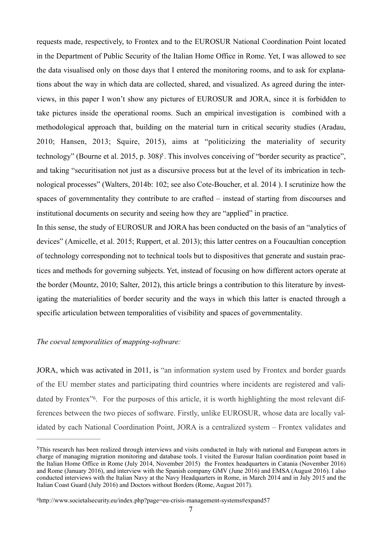requests made, respectively, to Frontex and to the EUROSUR National Coordination Point located in the Department of Public Security of the Italian Home Office in Rome. Yet, I was allowed to see the data visualised only on those days that I entered the monitoring rooms, and to ask for explanations about the way in which data are collected, shared, and visualized. As agreed during the interviews, in this paper I won't show any pictures of EUROSUR and JORA, since it is forbidden to take pictures inside the operational rooms. Such an empirical investigation is combined with a methodological approach that, building on the material turn in critical security studies (Aradau, 2010; Hansen, 2013; Squire, 2015), aims at "politicizing the materiality of security technology" (Bourne et al. 2015, p. 308)<sup> $\epsilon$ </sup>. This involves conceiving of "border security as practice", and taking "securitisation not just as a discursive process but at the level of its imbrication in technological processes" (Walters, 2014b: 102; see also Cote-Boucher, et al. 2014 ). I scrutinize how the spaces of governmentality they contribute to are crafted – instead of starting from discourses and institutional documents on security and seeing how they are "applied" in practice.

In this sense, the study of EUROSUR and JORA has been conducted on the basis of an "analytics of devices" (Amicelle, et al. 2015; Ruppert, et al. 2013); this latter centres on a Foucaultian conception of technology corresponding not to technical tools but to dispositives that generate and sustain practices and methods for governing subjects. Yet, instead of focusing on how different actors operate at the border (Mountz, 2010; Salter, 2012), this article brings a contribution to this literature by investigating the materialities of border security and the ways in which this latter is enacted through a specific articulation between temporalities of visibility and spaces of governmentality.

## *The coeval temporalities of mapping-software:*

JORA, which was activated in 2011, is "an information system used by Frontex and border guards of the EU member states and participating third countries where incidents are registered and validated by Frontex<sup>36</sup>. For the purposes of this article, it is worth highlighting the most relevant differences between the two pieces of software. Firstly, unlike EUROSUR, whose data are locally validated by each National Coordination Point, JORA is a centralized system – Frontex validates and

 $5$ This research has been realized through interviews and visits conducted in Italy with national and European actors in charge of managing migration monitoring and database tools. I visited the Eurosur Italian coordination point based in the Italian Home Office in Rome (July 2014, November 2015) the Frontex headquarters in Catania (November 2016) and Rome (January 2016), and interview with the Spanish company GMV (June 2016) and EMSA (August 2016). I also conducted interviews with the Italian Navy at the Navy Headquarters in Rome, in March 2014 and in July 2015 and the Italian Coast Guard (July 2016) and Doctors without Borders (Rome, August 2017).

<sup>6</sup>http://www.societalsecurity.eu/index.php?page=eu-crisis-management-systems#expand57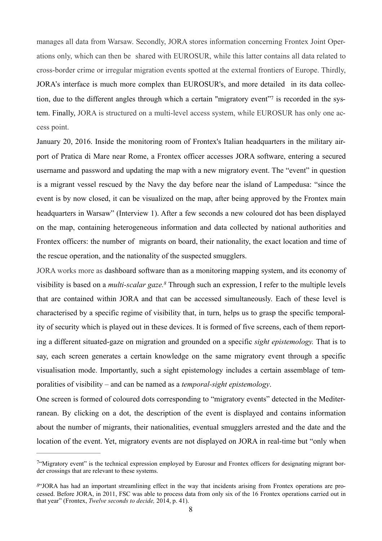manages all data from Warsaw. Secondly, JORA stores information concerning Frontex Joint Operations only, which can then be shared with EUROSUR, while this latter contains all data related to cross-border crime or irregular migration events spotted at the external frontiers of Europe. Thirdly, JORA's interface is much more complex than EUROSUR's, and more detailed in its data collection, due to the different angles through which a certain "migratory event" is recorded in the system. Finally, JORA is structured on a multi-level access system, while EUROSUR has only one access point.

January 20, 2016. Inside the monitoring room of Frontex's Italian headquarters in the military airport of Pratica di Mare near Rome, a Frontex officer accesses JORA software, entering a secured username and password and updating the map with a new migratory event. The "event" in question is a migrant vessel rescued by the Navy the day before near the island of Lampedusa: "since the event is by now closed, it can be visualized on the map, after being approved by the Frontex main headquarters in Warsaw" (Interview 1). After a few seconds a new coloured dot has been displayed on the map, containing heterogeneous information and data collected by national authorities and Frontex officers: the number of migrants on board, their nationality, the exact location and time of the rescue operation, and the nationality of the suspected smugglers.

JORA works more as dashboard software than as a monitoring mapping system, and its economy of visibility is based on a *multi-scalar gaze*.<sup>8</sup> Through such an expression, I refer to the multiple levels that are contained within JORA and that can be accessed simultaneously. Each of these level is characterised by a specific regime of visibility that, in turn, helps us to grasp the specific temporality of security which is played out in these devices. It is formed of five screens, each of them reporting a different situated-gaze on migration and grounded on a specific *sight epistemology.* That is to say, each screen generates a certain knowledge on the same migratory event through a specific visualisation mode. Importantly, such a sight epistemology includes a certain assemblage of temporalities of visibility – and can be named as a *temporal-sight epistemology*.

One screen is formed of coloured dots corresponding to "migratory events" detected in the Mediterranean. By clicking on a dot, the description of the event is displayed and contains information about the number of migrants, their nationalities, eventual smugglers arrested and the date and the location of the event. Yet, migratory events are not displayed on JORA in real-time but "only when

 $\frac{7}{10}$ Migratory event" is the technical expression employed by Eurosur and Frontex officers for designating migrant border crossings that are relevant to these systems.

*<sup>8</sup>*"JORA has had an important streamlining effect in the way that incidents arising from Frontex operations are processed. Before JORA, in 2011, FSC was able to process data from only six of the 16 Frontex operations carried out in that year" (Frontex, *Twelve seconds to decide,* 2014, p. 41).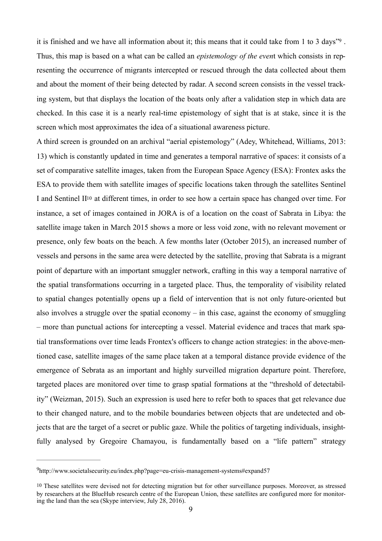it is finished and we have all information about it; this means that it could take from  $1$  to  $3$  days<sup>"9</sup>. Thus, this map is based on a what can be called an *epistemology of the even*t which consists in representing the occurrence of migrants intercepted or rescued through the data collected about them and about the moment of their being detected by radar. A second screen consists in the vessel tracking system, but that displays the location of the boats only after a validation step in which data are checked. In this case it is a nearly real-time epistemology of sight that is at stake, since it is the screen which most approximates the idea of a situational awareness picture.

A third screen is grounded on an archival "aerial epistemology" (Adey, Whitehead, Williams, 2013: 13) which is constantly updated in time and generates a temporal narrative of spaces: it consists of a set of comparative satellite images, taken from the European Space Agency (ESA): Frontex asks the ESA to provide them with satellite images of specific locations taken through the satellites Sentinel I and Sentinel II10 at different times, in order to see how a certain space has changed over time. For instance, a set of images contained in JORA is of a location on the coast of Sabrata in Libya: the satellite image taken in March 2015 shows a more or less void zone, with no relevant movement or presence, only few boats on the beach. A few months later (October 2015), an increased number of vessels and persons in the same area were detected by the satellite, proving that Sabrata is a migrant point of departure with an important smuggler network, crafting in this way a temporal narrative of the spatial transformations occurring in a targeted place. Thus, the temporality of visibility related to spatial changes potentially opens up a field of intervention that is not only future-oriented but also involves a struggle over the spatial economy – in this case, against the economy of smuggling – more than punctual actions for intercepting a vessel. Material evidence and traces that mark spatial transformations over time leads Frontex's officers to change action strategies: in the above-mentioned case, satellite images of the same place taken at a temporal distance provide evidence of the emergence of Sebrata as an important and highly surveilled migration departure point. Therefore, targeted places are monitored over time to grasp spatial formations at the "threshold of detectability" (Weizman, 2015). Such an expression is used here to refer both to spaces that get relevance due to their changed nature, and to the mobile boundaries between objects that are undetected and objects that are the target of a secret or public gaze. While the politics of targeting individuals, insightfully analysed by Gregoire Chamayou, is fundamentally based on a "life pattern" strategy

http://www.societalsecurity.eu/index.php?page=eu-crisis-management-systems#expand57 9

<sup>10</sup> These satellites were devised not for detecting migration but for other surveillance purposes. Moreover, as stressed by researchers at the BlueHub research centre of the European Union, these satellites are configured more for monitoring the land than the sea (Skype interview, July 28, 2016).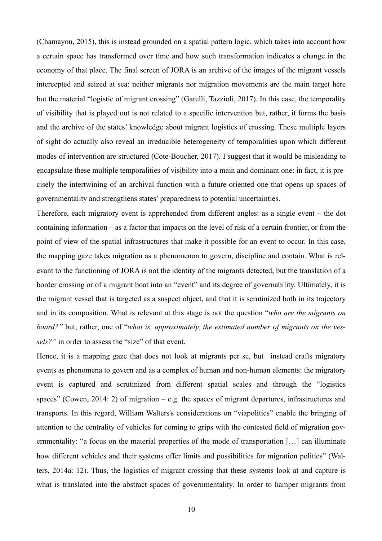(Chamayou, 2015), this is instead grounded on a spatial pattern logic, which takes into account how a certain space has transformed over time and how such transformation indicates a change in the economy of that place. The final screen of JORA is an archive of the images of the migrant vessels intercepted and seized at sea: neither migrants nor migration movements are the main target here but the material "logistic of migrant crossing" (Garelli, Tazzioli, 2017). In this case, the temporality of visibility that is played out is not related to a specific intervention but, rather, it forms the basis and the archive of the states' knowledge about migrant logistics of crossing. These multiple layers of sight do actually also reveal an irreducible heterogeneity of temporalities upon which different modes of intervention are structured (Cote-Boucher, 2017). I suggest that it would be misleading to encapsulate these multiple temporalities of visibility into a main and dominant one: in fact, it is precisely the intertwining of an archival function with a future-oriented one that opens up spaces of governmentality and strengthens states' preparedness to potential uncertainties.

Therefore, each migratory event is apprehended from different angles: as a single event – the dot containing information – as a factor that impacts on the level of risk of a certain frontier, or from the point of view of the spatial infrastructures that make it possible for an event to occur. In this case, the mapping gaze takes migration as a phenomenon to govern, discipline and contain. What is relevant to the functioning of JORA is not the identity of the migrants detected, but the translation of a border crossing or of a migrant boat into an "event" and its degree of governability. Ultimately, it is the migrant vessel that is targeted as a suspect object, and that it is scrutinized both in its trajectory and in its composition. What is relevant at this stage is not the question "*who are the migrants on board?"* but, rather, one of "*what is, approximately, the estimated number of migrants on the vessels?"* in order to assess the "size" of that event.

Hence, it is a mapping gaze that does not look at migrants per se, but instead crafts migratory events as phenomena to govern and as a complex of human and non-human elements: the migratory event is captured and scrutinized from different spatial scales and through the "logistics spaces" (Cowen, 2014: 2) of migration – e.g. the spaces of migrant departures, infrastructures and transports. In this regard, William Walters's considerations on "viapolitics" enable the bringing of attention to the centrality of vehicles for coming to grips with the contested field of migration governmentality: "a focus on the material properties of the mode of transportation […] can illuminate how different vehicles and their systems offer limits and possibilities for migration politics" (Walters, 2014a: 12). Thus, the logistics of migrant crossing that these systems look at and capture is what is translated into the abstract spaces of governmentality. In order to hamper migrants from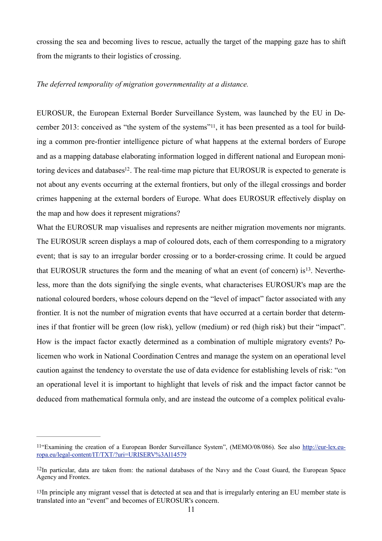crossing the sea and becoming lives to rescue, actually the target of the mapping gaze has to shift from the migrants to their logistics of crossing.

### *The deferred temporality of migration governmentality at a distance.*

EUROSUR, the European External Border Surveillance System, was launched by the EU in December 2013: conceived as "the system of the systems"11, it has been presented as a tool for building a common pre-frontier intelligence picture of what happens at the external borders of Europe and as a mapping database elaborating information logged in different national and European monitoring devices and databases<sup>12</sup>. The real-time map picture that EUROSUR is expected to generate is not about any events occurring at the external frontiers, but only of the illegal crossings and border crimes happening at the external borders of Europe. What does EUROSUR effectively display on the map and how does it represent migrations?

What the EUROSUR map visualises and represents are neither migration movements nor migrants. The EUROSUR screen displays a map of coloured dots, each of them corresponding to a migratory event; that is say to an irregular border crossing or to a border-crossing crime. It could be argued that EUROSUR structures the form and the meaning of what an event (of concern) is  $13$ . Nevertheless, more than the dots signifying the single events, what characterises EUROSUR's map are the national coloured borders, whose colours depend on the "level of impact" factor associated with any frontier. It is not the number of migration events that have occurred at a certain border that determines if that frontier will be green (low risk), yellow (medium) or red (high risk) but their "impact". How is the impact factor exactly determined as a combination of multiple migratory events? Policemen who work in National Coordination Centres and manage the system on an operational level caution against the tendency to overstate the use of data evidence for establishing levels of risk: "on an operational level it is important to highlight that levels of risk and the impact factor cannot be deduced from mathematical formula only, and are instead the outcome of a complex political evalu-

<sup>11&</sup>quot;Examining the creation of a European Border Surveillance System", (MEMO/08/086). See also http://eur-lex.europa.eu/legal-content/IT/TXT/?uri=URISERV%3Al14579

 $12$ In particular, data are taken from: the national databases of the Navy and the Coast Guard, the European Space Agency and Frontex.

<sup>13</sup>In principle any migrant vessel that is detected at sea and that is irregularly entering an EU member state is translated into an "event" and becomes of EUROSUR's concern.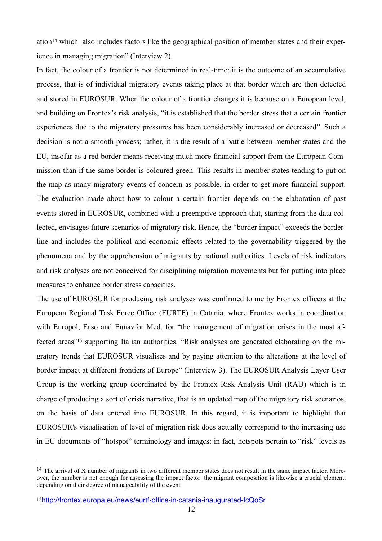$a$ tion<sup>14</sup> which also includes factors like the geographical position of member states and their experience in managing migration" (Interview 2).

In fact, the colour of a frontier is not determined in real-time: it is the outcome of an accumulative process, that is of individual migratory events taking place at that border which are then detected and stored in EUROSUR. When the colour of a frontier changes it is because on a European level, and building on Frontex's risk analysis, "it is established that the border stress that a certain frontier experiences due to the migratory pressures has been considerably increased or decreased". Such a decision is not a smooth process; rather, it is the result of a battle between member states and the EU, insofar as a red border means receiving much more financial support from the European Commission than if the same border is coloured green. This results in member states tending to put on the map as many migratory events of concern as possible, in order to get more financial support. The evaluation made about how to colour a certain frontier depends on the elaboration of past events stored in EUROSUR, combined with a preemptive approach that, starting from the data collected, envisages future scenarios of migratory risk. Hence, the "border impact" exceeds the borderline and includes the political and economic effects related to the governability triggered by the phenomena and by the apprehension of migrants by national authorities. Levels of risk indicators and risk analyses are not conceived for disciplining migration movements but for putting into place measures to enhance border stress capacities.

The use of EUROSUR for producing risk analyses was confirmed to me by Frontex officers at the European Regional Task Force Office (EURTF) in Catania, where Frontex works in coordination with Europol, Easo and Eunavfor Med, for "the management of migration crises in the most affected areas"<sup>15</sup> supporting Italian authorities. "Risk analyses are generated elaborating on the migratory trends that EUROSUR visualises and by paying attention to the alterations at the level of border impact at different frontiers of Europe" (Interview 3). The EUROSUR Analysis Layer User Group is the working group coordinated by the Frontex Risk Analysis Unit (RAU) which is in charge of producing a sort of crisis narrative, that is an updated map of the migratory risk scenarios, on the basis of data entered into EUROSUR. In this regard, it is important to highlight that EUROSUR's visualisation of level of migration risk does actually correspond to the increasing use in EU documents of "hotspot" terminology and images: in fact, hotspots pertain to "risk" levels as

 $14$  The arrival of X number of migrants in two different member states does not result in the same impact factor. Moreover, the number is not enough for assessing the impact factor: the migrant composition is likewise a crucial element, depending on their degree of manageability of the event.

<sup>15</sup>http://frontex.europa.eu/news/eurtf-office-in-catania-inaugurated-fcQoSr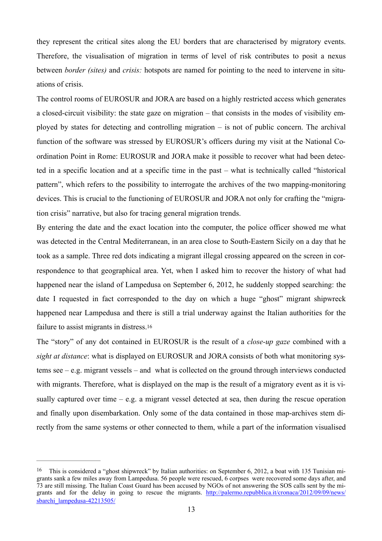they represent the critical sites along the EU borders that are characterised by migratory events. Therefore, the visualisation of migration in terms of level of risk contributes to posit a nexus between *border (sites)* and *crisis:* hotspots are named for pointing to the need to intervene in situations of crisis.

The control rooms of EUROSUR and JORA are based on a highly restricted access which generates a closed-circuit visibility: the state gaze on migration – that consists in the modes of visibility employed by states for detecting and controlling migration – is not of public concern. The archival function of the software was stressed by EUROSUR's officers during my visit at the National Coordination Point in Rome: EUROSUR and JORA make it possible to recover what had been detected in a specific location and at a specific time in the past – what is technically called "historical pattern", which refers to the possibility to interrogate the archives of the two mapping-monitoring devices. This is crucial to the functioning of EUROSUR and JORA not only for crafting the "migration crisis" narrative, but also for tracing general migration trends.

By entering the date and the exact location into the computer, the police officer showed me what was detected in the Central Mediterranean, in an area close to South-Eastern Sicily on a day that he took as a sample. Three red dots indicating a migrant illegal crossing appeared on the screen in correspondence to that geographical area. Yet, when I asked him to recover the history of what had happened near the island of Lampedusa on September 6, 2012, he suddenly stopped searching: the date I requested in fact corresponded to the day on which a huge "ghost" migrant shipwreck happened near Lampedusa and there is still a trial underway against the Italian authorities for the failure to assist migrants in distress.16

The "story" of any dot contained in EUROSUR is the result of a *close-up gaze* combined with a *sight at distance*: what is displayed on EUROSUR and JORA consists of both what monitoring systems see – e.g. migrant vessels – and what is collected on the ground through interviews conducted with migrants. Therefore, what is displayed on the map is the result of a migratory event as it is visually captured over time – e.g. a migrant vessel detected at sea, then during the rescue operation and finally upon disembarkation. Only some of the data contained in those map-archives stem directly from the same systems or other connected to them, while a part of the information visualised

<sup>&</sup>lt;sup>16</sup> This is considered a "ghost shipwreck" by Italian authorities: on September 6, 2012, a boat with 135 Tunisian migrants sank a few miles away from Lampedusa. 56 people were rescued, 6 corpses were recovered some days after, and 73 are still missing. The Italian Coast Guard has been accused by NGOs of not answering the SOS calls sent by the migrants and for the delay in going to rescue the migrants. http://palermo.repubblica.it/cronaca/2012/09/09/news/ sbarchi\_lampedusa-42213505/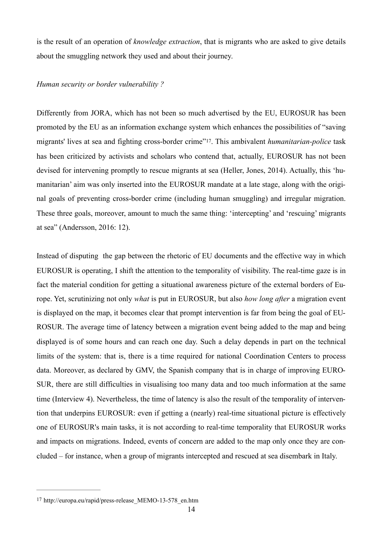is the result of an operation of *knowledge extraction*, that is migrants who are asked to give details about the smuggling network they used and about their journey.

### *Human security or border vulnerability ?*

Differently from JORA, which has not been so much advertised by the EU, EUROSUR has been promoted by the EU as an information exchange system which enhances the possibilities of "saving migrants' lives at sea and fighting cross-border crime"17. This ambivalent *humanitarian-police* task has been criticized by activists and scholars who contend that, actually, EUROSUR has not been devised for intervening promptly to rescue migrants at sea (Heller, Jones, 2014). Actually, this 'humanitarian' aim was only inserted into the EUROSUR mandate at a late stage, along with the original goals of preventing cross-border crime (including human smuggling) and irregular migration. These three goals, moreover, amount to much the same thing: 'intercepting' and 'rescuing' migrants at sea" (Andersson, 2016: 12).

Instead of disputing the gap between the rhetoric of EU documents and the effective way in which EUROSUR is operating, I shift the attention to the temporality of visibility. The real-time gaze is in fact the material condition for getting a situational awareness picture of the external borders of Europe. Yet, scrutinizing not only *what* is put in EUROSUR, but also *how long after* a migration event is displayed on the map, it becomes clear that prompt intervention is far from being the goal of EU-ROSUR. The average time of latency between a migration event being added to the map and being displayed is of some hours and can reach one day. Such a delay depends in part on the technical limits of the system: that is, there is a time required for national Coordination Centers to process data. Moreover, as declared by GMV, the Spanish company that is in charge of improving EURO-SUR, there are still difficulties in visualising too many data and too much information at the same time (Interview 4). Nevertheless, the time of latency is also the result of the temporality of intervention that underpins EUROSUR: even if getting a (nearly) real-time situational picture is effectively one of EUROSUR's main tasks, it is not according to real-time temporality that EUROSUR works and impacts on migrations. Indeed, events of concern are added to the map only once they are concluded – for instance, when a group of migrants intercepted and rescued at sea disembark in Italy.

<sup>17</sup> http://europa.eu/rapid/press-release\_MEMO-13-578\_en.htm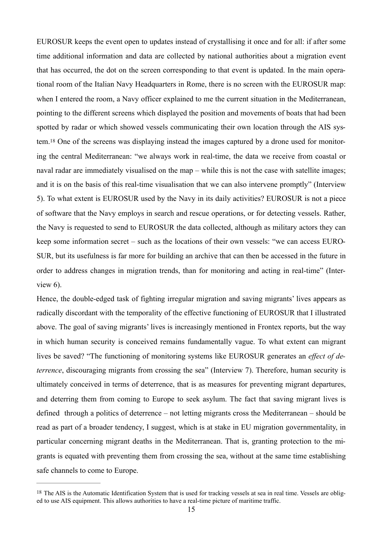EUROSUR keeps the event open to updates instead of crystallising it once and for all: if after some time additional information and data are collected by national authorities about a migration event that has occurred, the dot on the screen corresponding to that event is updated. In the main operational room of the Italian Navy Headquarters in Rome, there is no screen with the EUROSUR map: when I entered the room, a Navy officer explained to me the current situation in the Mediterranean, pointing to the different screens which displayed the position and movements of boats that had been spotted by radar or which showed vessels communicating their own location through the AIS system.18 One of the screens was displaying instead the images captured by a drone used for monitoring the central Mediterranean: "we always work in real-time, the data we receive from coastal or naval radar are immediately visualised on the map – while this is not the case with satellite images; and it is on the basis of this real-time visualisation that we can also intervene promptly" (Interview 5). To what extent is EUROSUR used by the Navy in its daily activities? EUROSUR is not a piece of software that the Navy employs in search and rescue operations, or for detecting vessels. Rather, the Navy is requested to send to EUROSUR the data collected, although as military actors they can keep some information secret – such as the locations of their own vessels: "we can access EURO-SUR, but its usefulness is far more for building an archive that can then be accessed in the future in order to address changes in migration trends, than for monitoring and acting in real-time" (Interview 6).

Hence, the double-edged task of fighting irregular migration and saving migrants' lives appears as radically discordant with the temporality of the effective functioning of EUROSUR that I illustrated above. The goal of saving migrants' lives is increasingly mentioned in Frontex reports, but the way in which human security is conceived remains fundamentally vague. To what extent can migrant lives be saved? "The functioning of monitoring systems like EUROSUR generates an *effect of deterrence*, discouraging migrants from crossing the sea" (Interview 7). Therefore, human security is ultimately conceived in terms of deterrence, that is as measures for preventing migrant departures, and deterring them from coming to Europe to seek asylum. The fact that saving migrant lives is defined through a politics of deterrence – not letting migrants cross the Mediterranean – should be read as part of a broader tendency, I suggest, which is at stake in EU migration governmentality, in particular concerning migrant deaths in the Mediterranean. That is, granting protection to the migrants is equated with preventing them from crossing the sea, without at the same time establishing safe channels to come to Europe.

<sup>18</sup> The AIS is the Automatic Identification System that is used for tracking vessels at sea in real time. Vessels are obliged to use AIS equipment. This allows authorities to have a real-time picture of maritime traffic.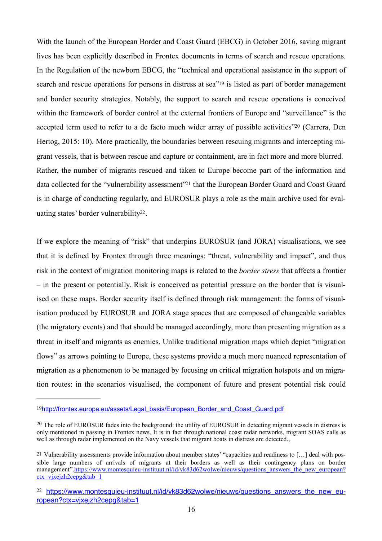With the launch of the European Border and Coast Guard (EBCG) in October 2016, saving migrant lives has been explicitly described in Frontex documents in terms of search and rescue operations. In the Regulation of the newborn EBCG, the "technical and operational assistance in the support of search and rescue operations for persons in distress at sea"19 is listed as part of border management and border security strategies. Notably, the support to search and rescue operations is conceived within the framework of border control at the external frontiers of Europe and "surveillance" is the accepted term used to refer to a de facto much wider array of possible activities"<sup>20</sup> (Carrera, Den Hertog, 2015: 10). More practically, the boundaries between rescuing migrants and intercepting migrant vessels, that is between rescue and capture or containment, are in fact more and more blurred. Rather, the number of migrants rescued and taken to Europe become part of the information and data collected for the "vulnerability assessment"<sup>21</sup> that the European Border Guard and Coast Guard is in charge of conducting regularly, and EUROSUR plays a role as the main archive used for evaluating states' border vulnerability<sup>22</sup>.

If we explore the meaning of "risk" that underpins EUROSUR (and JORA) visualisations, we see that it is defined by Frontex through three meanings: "threat, vulnerability and impact", and thus risk in the context of migration monitoring maps is related to the *border stress* that affects a frontier – in the present or potentially. Risk is conceived as potential pressure on the border that is visualised on these maps. Border security itself is defined through risk management: the forms of visualisation produced by EUROSUR and JORA stage spaces that are composed of changeable variables (the migratory events) and that should be managed accordingly, more than presenting migration as a threat in itself and migrants as enemies. Unlike traditional migration maps which depict "migration flows" as arrows pointing to Europe, these systems provide a much more nuanced representation of migration as a phenomenon to be managed by focusing on critical migration hotspots and on migration routes: in the scenarios visualised, the component of future and present potential risk could

<sup>19</sup>http://frontex.europa.eu/assets/Legal\_basis/European\_Border\_and\_Coast\_Guard.pdf

<sup>&</sup>lt;sup>20</sup> The role of EUROSUR fades into the background: the utility of EUROSUR in detecting migrant vessels in distress is only mentioned in passing in Frontex news. It is in fact through national coast radar networks, migrant SOAS calls as well as through radar implemented on the Navy vessels that migrant boats in distress are detected.,

<sup>21</sup> Vulnerability assessments provide information about member states' "capacities and readiness to […] deal with possible large numbers of arrivals of migrants at their borders as well as their contingency plans on border management".https://www.montesquieu-instituut.nl/id/vk83d62wolwe/nieuws/questions\_answers\_the\_new\_european? ctx=vjxejzh2cepg&tab=1

<sup>&</sup>lt;sup>22</sup> https://www.montesquieu-instituut.nl/id/vk83d62wolwe/nieuws/questions\_answers\_the\_new\_european?ctx=vjxejzh2cepg&tab=1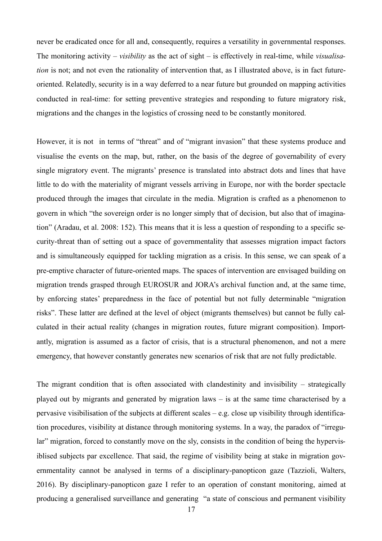never be eradicated once for all and, consequently, requires a versatility in governmental responses. The monitoring activity – *visibility* as the act of sight – is effectively in real-time, while *visualisation* is not; and not even the rationality of intervention that, as I illustrated above, is in fact futureoriented. Relatedly, security is in a way deferred to a near future but grounded on mapping activities conducted in real-time: for setting preventive strategies and responding to future migratory risk, migrations and the changes in the logistics of crossing need to be constantly monitored.

However, it is not in terms of "threat" and of "migrant invasion" that these systems produce and visualise the events on the map, but, rather, on the basis of the degree of governability of every single migratory event. The migrants' presence is translated into abstract dots and lines that have little to do with the materiality of migrant vessels arriving in Europe, nor with the border spectacle produced through the images that circulate in the media. Migration is crafted as a phenomenon to govern in which "the sovereign order is no longer simply that of decision, but also that of imagination" (Aradau, et al. 2008: 152). This means that it is less a question of responding to a specific security-threat than of setting out a space of governmentality that assesses migration impact factors and is simultaneously equipped for tackling migration as a crisis. In this sense, we can speak of a pre-emptive character of future-oriented maps. The spaces of intervention are envisaged building on migration trends grasped through EUROSUR and JORA's archival function and, at the same time, by enforcing states' preparedness in the face of potential but not fully determinable "migration risks". These latter are defined at the level of object (migrants themselves) but cannot be fully calculated in their actual reality (changes in migration routes, future migrant composition). Importantly, migration is assumed as a factor of crisis, that is a structural phenomenon, and not a mere emergency, that however constantly generates new scenarios of risk that are not fully predictable.

The migrant condition that is often associated with clandestinity and invisibility – strategically played out by migrants and generated by migration laws – is at the same time characterised by a pervasive visibilisation of the subjects at different scales – e.g. close up visibility through identification procedures, visibility at distance through monitoring systems. In a way, the paradox of "irregular" migration, forced to constantly move on the sly, consists in the condition of being the hypervisiblised subjects par excellence. That said, the regime of visibility being at stake in migration governmentality cannot be analysed in terms of a disciplinary-panopticon gaze (Tazzioli, Walters, 2016). By disciplinary-panopticon gaze I refer to an operation of constant monitoring, aimed at producing a generalised surveillance and generating "a state of conscious and permanent visibility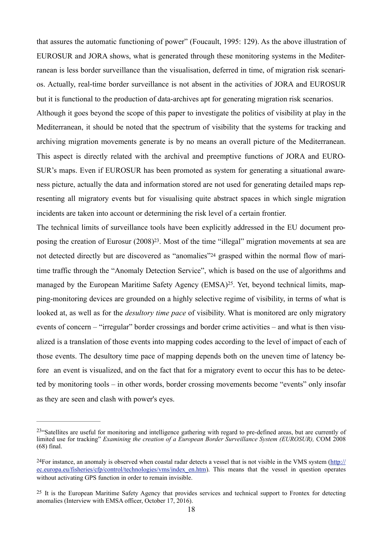that assures the automatic functioning of power" (Foucault, 1995: 129). As the above illustration of EUROSUR and JORA shows, what is generated through these monitoring systems in the Mediterranean is less border surveillance than the visualisation, deferred in time, of migration risk scenarios. Actually, real-time border surveillance is not absent in the activities of JORA and EUROSUR but it is functional to the production of data-archives apt for generating migration risk scenarios.

Although it goes beyond the scope of this paper to investigate the politics of visibility at play in the Mediterranean, it should be noted that the spectrum of visibility that the systems for tracking and archiving migration movements generate is by no means an overall picture of the Mediterranean. This aspect is directly related with the archival and preemptive functions of JORA and EURO-SUR's maps. Even if EUROSUR has been promoted as system for generating a situational awareness picture, actually the data and information stored are not used for generating detailed maps representing all migratory events but for visualising quite abstract spaces in which single migration incidents are taken into account or determining the risk level of a certain frontier.

The technical limits of surveillance tools have been explicitly addressed in the EU document proposing the creation of Eurosur  $(2008)^{23}$ . Most of the time "illegal" migration movements at sea are not detected directly but are discovered as "anomalies"24 grasped within the normal flow of maritime traffic through the "Anomaly Detection Service", which is based on the use of algorithms and managed by the European Maritime Safety Agency (EMSA)25. Yet, beyond technical limits, mapping-monitoring devices are grounded on a highly selective regime of visibility, in terms of what is looked at, as well as for the *desultory time pace* of visibility. What is monitored are only migratory events of concern – "irregular" border crossings and border crime activities – and what is then visualized is a translation of those events into mapping codes according to the level of impact of each of those events. The desultory time pace of mapping depends both on the uneven time of latency before an event is visualized, and on the fact that for a migratory event to occur this has to be detected by monitoring tools – in other words, border crossing movements become "events" only insofar as they are seen and clash with power's eyes.

<sup>&</sup>lt;sup>23</sup>"Satellites are useful for monitoring and intelligence gathering with regard to pre-defined areas, but are currently of limited use for tracking" *Examining the creation of a European Border Surveillance System (EUROSUR)*, COM 2008 (68) final.

<sup>24</sup>For instance, an anomaly is observed when coastal radar detects a vessel that is not visible in the VMS system (http:// ec.europa.eu/fisheries/cfp/control/technologies/vms/index\_en.htm). This means that the vessel in question operates without activating GPS function in order to remain invisible.

<sup>&</sup>lt;sup>25</sup> It is the European Maritime Safety Agency that provides services and technical support to Frontex for detecting anomalies (Interview with EMSA officer, October 17, 2016).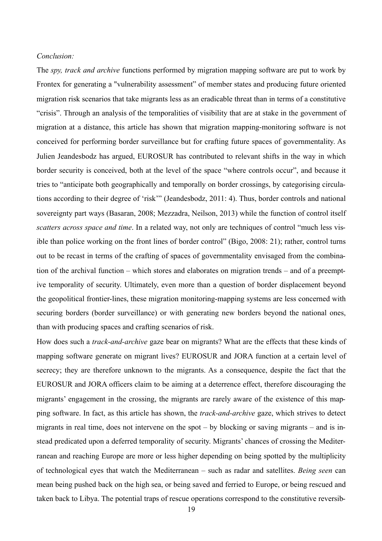### *Conclusion:*

The *spy, track and archive* functions performed by migration mapping software are put to work by Frontex for generating a "vulnerability assessment" of member states and producing future oriented migration risk scenarios that take migrants less as an eradicable threat than in terms of a constitutive "crisis". Through an analysis of the temporalities of visibility that are at stake in the government of migration at a distance, this article has shown that migration mapping-monitoring software is not conceived for performing border surveillance but for crafting future spaces of governmentality. As Julien Jeandesbodz has argued, EUROSUR has contributed to relevant shifts in the way in which border security is conceived, both at the level of the space "where controls occur", and because it tries to "anticipate both geographically and temporally on border crossings, by categorising circulations according to their degree of 'risk'" (Jeandesbodz, 2011: 4). Thus, border controls and national sovereignty part ways (Basaran, 2008; Mezzadra, Neilson, 2013) while the function of control itself *scatters across space and time*. In a related way, not only are techniques of control "much less visible than police working on the front lines of border control" (Bigo, 2008: 21); rather, control turns out to be recast in terms of the crafting of spaces of governmentality envisaged from the combination of the archival function – which stores and elaborates on migration trends – and of a preemptive temporality of security. Ultimately, even more than a question of border displacement beyond the geopolitical frontier-lines, these migration monitoring-mapping systems are less concerned with securing borders (border surveillance) or with generating new borders beyond the national ones, than with producing spaces and crafting scenarios of risk.

How does such a *track-and-archive* gaze bear on migrants? What are the effects that these kinds of mapping software generate on migrant lives? EUROSUR and JORA function at a certain level of secrecy; they are therefore unknown to the migrants. As a consequence, despite the fact that the EUROSUR and JORA officers claim to be aiming at a deterrence effect, therefore discouraging the migrants' engagement in the crossing, the migrants are rarely aware of the existence of this mapping software. In fact, as this article has shown, the *track-and-archive* gaze, which strives to detect migrants in real time, does not intervene on the spot – by blocking or saving migrants – and is instead predicated upon a deferred temporality of security. Migrants' chances of crossing the Mediterranean and reaching Europe are more or less higher depending on being spotted by the multiplicity of technological eyes that watch the Mediterranean – such as radar and satellites. *Being seen* can mean being pushed back on the high sea, or being saved and ferried to Europe, or being rescued and taken back to Libya. The potential traps of rescue operations correspond to the constitutive reversib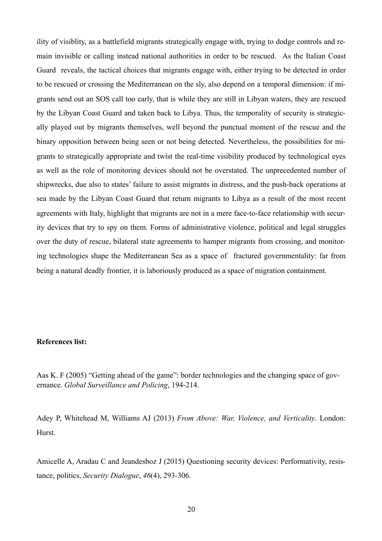ility of visiblity, as a battlefield migrants strategically engage with, trying to dodge controls and remain invisible or calling instead national authorities in order to be rescued. As the Italian Coast Guard reveals, the tactical choices that migrants engage with, either trying to be detected in order to be rescued or crossing the Mediterranean on the sly, also depend on a temporal dimension: if migrants send out an SOS call too early, that is while they are still in Libyan waters, they are rescued by the Libyan Coast Guard and taken back to Libya. Thus, the temporality of security is strategically played out by migrants themselves, well beyond the punctual moment of the rescue and the binary opposition between being seen or not being detected. Nevertheless, the possibilities for migrants to strategically appropriate and twist the real-time visibility produced by technological eyes as well as the role of monitoring devices should not be overstated. The unprecedented number of shipwrecks, due also to states' failure to assist migrants in distress, and the push-back operations at sea made by the Libyan Coast Guard that return migrants to Libya as a result of the most recent agreements with Italy, highlight that migrants are not in a mere face-to-face relationship with security devices that try to spy on them. Forms of administrative violence, political and legal struggles over the duty of rescue, bilateral state agreements to hamper migrants from crossing, and monitoring technologies shape the Mediterranean Sea as a space of fractured governmentality: far from being a natural deadly frontier, it is laboriously produced as a space of migration containment.

### **References list:**

Aas K. F (2005) "Getting ahead of the game": border technologies and the changing space of governance. *Global Surveillance and Policing*, 194-214.

Adey P, Whitehead M, Williams AJ (2013) *From Above: War, Violence, and Verticality*. London: Hurst.

Amicelle A, Aradau C and Jeandesboz J (2015) Questioning security devices: Performativity, resistance, politics. *Security Dialogue*, *46*(4), 293-306.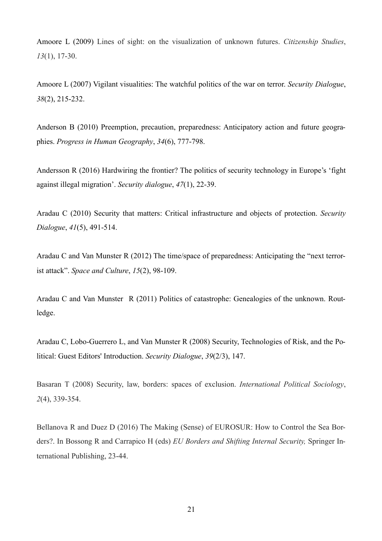Amoore L (2009) Lines of sight: on the visualization of unknown futures. *Citizenship Studies*, *13*(1), 17-30.

Amoore L (2007) Vigilant visualities: The watchful politics of the war on terror. *Security Dialogue*, *38*(2), 215-232.

Anderson B (2010) Preemption, precaution, preparedness: Anticipatory action and future geographies. *Progress in Human Geography*, *34*(6), 777-798.

Andersson R (2016) Hardwiring the frontier? The politics of security technology in Europe's 'fight against illegal migration'. *Security dialogue*, *47*(1), 22-39.

Aradau C (2010) Security that matters: Critical infrastructure and objects of protection. *Security Dialogue*, *41*(5), 491-514.

Aradau C and Van Munster R (2012) The time/space of preparedness: Anticipating the "next terrorist attack". *Space and Culture*, *15*(2), 98-109.

Aradau C and Van Munster R (2011) Politics of catastrophe: Genealogies of the unknown. Routledge.

Aradau C, Lobo-Guerrero L, and Van Munster R (2008) Security, Technologies of Risk, and the Political: Guest Editors' Introduction. *Security Dialogue*, *39*(2/3), 147.

Basaran T (2008) Security, law, borders: spaces of exclusion. *International Political Sociology*, *2*(4), 339-354.

Bellanova R and Duez D (2016) The Making (Sense) of EUROSUR: How to Control the Sea Borders?. In Bossong R and Carrapico H (eds) *EU Borders and Shifting Internal Security,* Springer International Publishing, 23-44.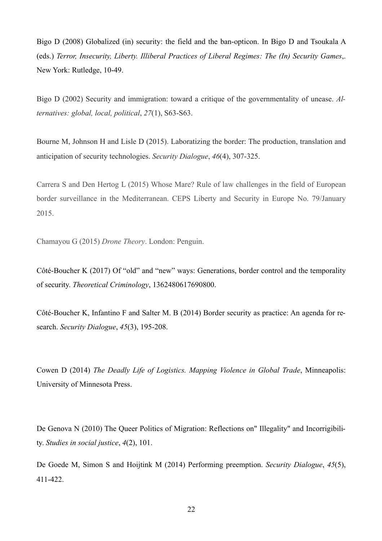Bigo D (2008) Globalized (in) security: the field and the ban-opticon. In Bigo D and Tsoukala A (eds.) *Terror, Insecurity, Liberty. Illiberal Practices of Liberal Regimes: The (In) Security Games*,. New York: Rutledge, 10-49.

Bigo D (2002) Security and immigration: toward a critique of the governmentality of unease. *Alternatives: global, local, political*, *27*(1), S63-S63.

Bourne M, Johnson H and Lisle D (2015). Laboratizing the border: The production, translation and anticipation of security technologies. *Security Dialogue*, *46*(4), 307-325.

Carrera S and Den Hertog L (2015) Whose Mare? Rule of law challenges in the field of European border surveillance in the Mediterranean. CEPS Liberty and Security in Europe No. 79/January 2015.

Chamayou G (2015) *Drone Theory*. London: Penguin.

Côté-Boucher K (2017) Of "old" and "new" ways: Generations, border control and the temporality of security. *Theoretical Criminology*, 1362480617690800.

Côté-Boucher K, Infantino F and Salter M. B (2014) Border security as practice: An agenda for research. *Security Dialogue*, *45*(3), 195-208.

Cowen D (2014) *The Deadly Life of Logistics. Mapping Violence in Global Trade*, Minneapolis: University of Minnesota Press.

De Genova N (2010) The Queer Politics of Migration: Reflections on" Illegality" and Incorrigibility. *Studies in social justice*, *4*(2), 101.

De Goede M, Simon S and Hoijtink M (2014) Performing preemption. *Security Dialogue*, *45*(5), 411-422.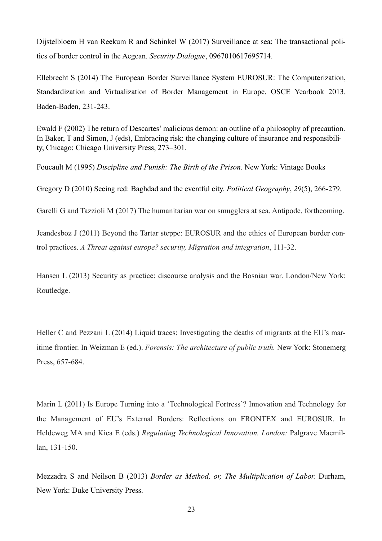Dijstelbloem H van Reekum R and Schinkel W (2017) Surveillance at sea: The transactional politics of border control in the Aegean. *Security Dialogue*, 0967010617695714.

Ellebrecht S (2014) The European Border Surveillance System EUROSUR: The Computerization, Standardization and Virtualization of Border Management in Europe. OSCE Yearbook 2013. Baden-Baden, 231-243.

Ewald F (2002) The return of Descartes' malicious demon: an outline of a philosophy of precaution. In Baker, T and Simon, J (eds), Embracing risk: the changing culture of insurance and responsibility, Chicago: Chicago University Press, 273–301.

Foucault M (1995) *Discipline and Punish: The Birth of the Prison*. New York: Vintage Books

Gregory D (2010) Seeing red: Baghdad and the eventful city. *Political Geography*, *29*(5), 266-279.

Garelli G and Tazzioli M (2017) The humanitarian war on smugglers at sea. Antipode, forthcoming.

Jeandesboz J (2011) Beyond the Tartar steppe: EUROSUR and the ethics of European border control practices. *A Threat against europe? security, Migration and integration*, 111-32.

Hansen L (2013) Security as practice: discourse analysis and the Bosnian war. London/New York: Routledge.

Heller C and Pezzani L (2014) Liquid traces: Investigating the deaths of migrants at the EU's maritime frontier. In Weizman E (ed.). *Forensis: The architecture of public truth.* New York: Stonemerg Press, 657-684.

Marin L (2011) Is Europe Turning into a 'Technological Fortress'? Innovation and Technology for the Management of EU's External Borders: Reflections on FRONTEX and EUROSUR. In Heldeweg MA and Kica E (eds.) *Regulating Technological Innovation. London:* Palgrave Macmillan, 131-150.

Mezzadra S and Neilson B (2013) *Border as Method, or, The Multiplication of Labor.* Durham, New York: Duke University Press.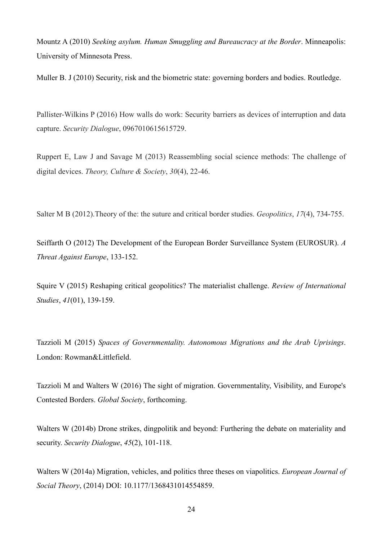Mountz A (2010) *Seeking asylum. Human Smuggling and Bureaucracy at the Border*. Minneapolis: University of Minnesota Press.

Muller B. J (2010) Security, risk and the biometric state: governing borders and bodies. Routledge.

Pallister-Wilkins P (2016) How walls do work: Security barriers as devices of interruption and data capture. *Security Dialogue*, 0967010615615729.

Ruppert E, Law J and Savage M (2013) Reassembling social science methods: The challenge of digital devices. *Theory, Culture & Society*, *30*(4), 22-46.

Salter M B (2012).Theory of the: the suture and critical border studies. *Geopolitics*, *17*(4), 734-755.

Seiffarth O (2012) The Development of the European Border Surveillance System (EUROSUR). *A Threat Against Europe*, 133-152.

Squire V (2015) Reshaping critical geopolitics? The materialist challenge. *Review of International Studies*, *41*(01), 139-159.

Tazzioli M (2015) *Spaces of Governmentality. Autonomous Migrations and the Arab Uprisings*. London: Rowman&Littlefield.

Tazzioli M and Walters W (2016) The sight of migration. Governmentality, Visibility, and Europe's Contested Borders. *Global Society*, forthcoming.

Walters W (2014b) Drone strikes, dingpolitik and beyond: Furthering the debate on materiality and security. *Security Dialogue*, *45*(2), 101-118.

Walters W (2014a) Migration, vehicles, and politics three theses on viapolitics. *European Journal of Social Theory*, (2014) DOI: 10.1177/1368431014554859.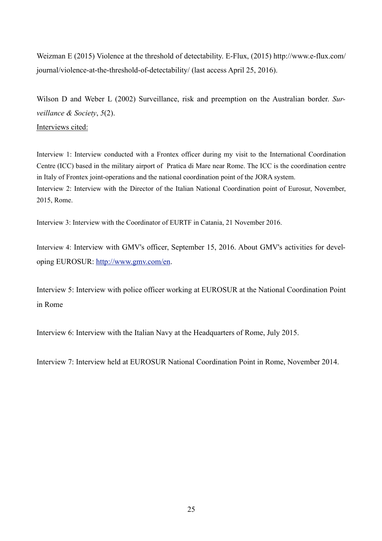Weizman E (2015) Violence at the threshold of detectability. E-Flux, (2015) http://www.e-flux.com/ journal/violence-at-the-threshold-of-detectability/ (last access April 25, 2016).

Wilson D and Weber L (2002) Surveillance, risk and preemption on the Australian border. *Surveillance & Society*, *5*(2). Interviews cited:

Interview 1: Interview conducted with a Frontex officer during my visit to the International Coordination Centre (ICC) based in the military airport of Pratica di Mare near Rome. The ICC is the coordination centre in Italy of Frontex joint-operations and the national coordination point of the JORA system. Interview 2: Interview with the Director of the Italian National Coordination point of Eurosur, November, 2015, Rome.

Interview 3: Interview with the Coordinator of EURTF in Catania, 21 November 2016.

Interview 4: Interview with GMV's officer, September 15, 2016. About GMV's activities for developing EUROSUR: http://www.gmv.com/en.

Interview 5: Interview with police officer working at EUROSUR at the National Coordination Point in Rome

Interview 6: Interview with the Italian Navy at the Headquarters of Rome, July 2015.

Interview 7: Interview held at EUROSUR National Coordination Point in Rome, November 2014.